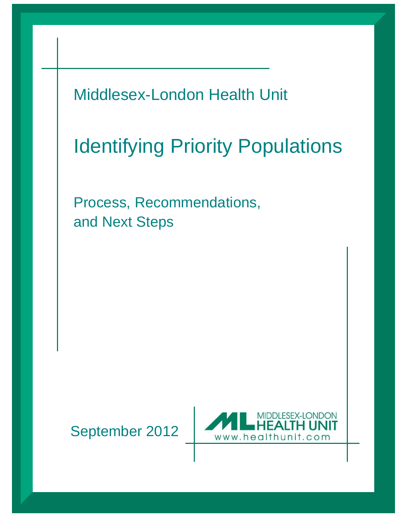| Middlesex-London Health Unit. anywhere in the document. Use the Drawing Tools tab to change the formatting of the pull quote text

 $\blacksquare$ 

# Identifying Priority Populations

Process, Recommendations, and Next Steps

# September 2012

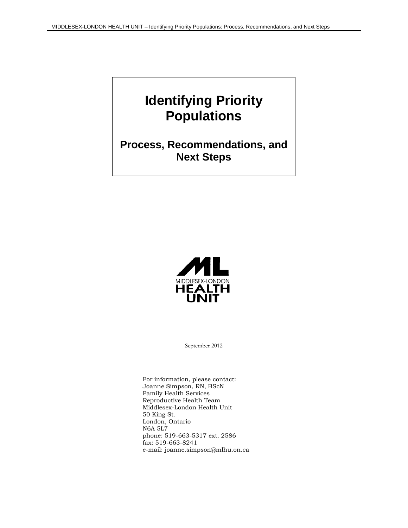# **Identifying Priority Populations**

**Process, Recommendations, and Next Steps**



September 2012

For information, please contact: Joanne Simpson, RN, BScN Family Health Services Reproductive Health Team Middlesex-London Health Unit 50 King St. London, Ontario N6A 5L7 phone: 519-663-5317 ext. 2586 fax: 519-663-8241 e-mail: joanne.simpson@mlhu.on.ca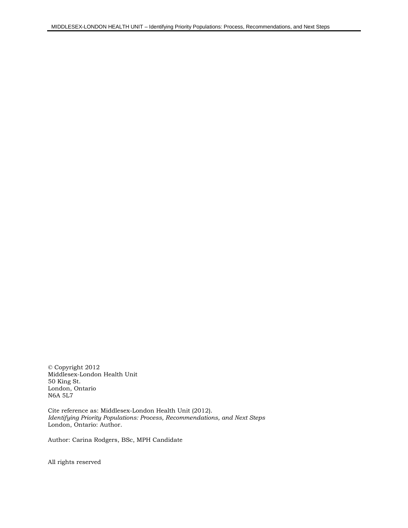© Copyright 2012 Middlesex-London Health Unit 50 King St. London, Ontario N6A 5L7

Cite reference as: Middlesex-London Health Unit (2012). *Identifying Priority Populations: Process, Recommendations, and Next Steps* London, Ontario: Author.

Author: Carina Rodgers, BSc, MPH Candidate

All rights reserved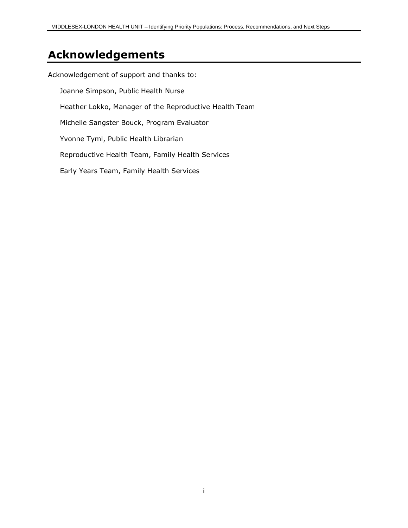# **Acknowledgements**

Acknowledgement of support and thanks to: Joanne Simpson, Public Health Nurse Heather Lokko, Manager of the Reproductive Health Team Michelle Sangster Bouck, Program Evaluator Yvonne Tyml, Public Health Librarian Reproductive Health Team, Family Health Services Early Years Team, Family Health Services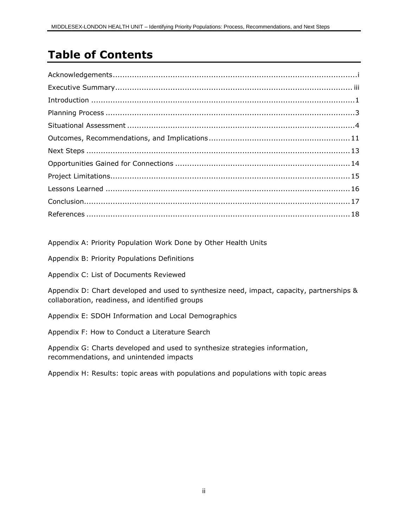# **Table of Contents**

Appendix A: Priority Population Work Done by Other Health Units

Appendix B: Priority Populations Definitions

Appendix C: List of Documents Reviewed

Appendix D: Chart developed and used to synthesize need, impact, capacity, partnerships & collaboration, readiness, and identified groups

Appendix E: SDOH Information and Local Demographics

Appendix F: How to Conduct a Literature Search

Appendix G: Charts developed and used to synthesize strategies information, recommendations, and unintended impacts

Appendix H: Results: topic areas with populations and populations with topic areas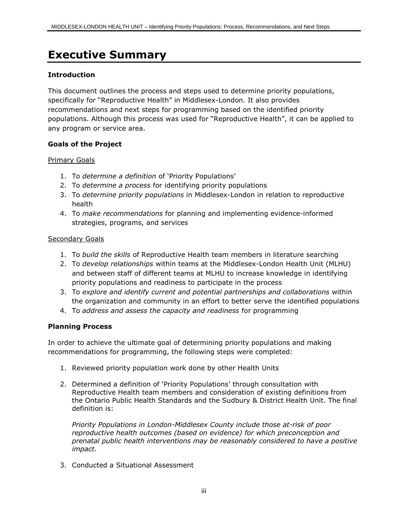# **Executive Summary**

# **Introduction**

This document outlines the process and steps used to determine priority populations, specifically for "Reproductive Health" in Middlesex-London. It also provides recommendations and next steps for programming based on the identified priority populations. Although this process was used for "Reproductive Health", it can be applied to any program or service area.

# **Goals of the Project**

#### Primary Goals

- 1. To *determine a definition* of 'Priority Populations'
- 2. To *determine a process* for identifying priority populations
- 3. To *determine priority populations* in Middlesex-London in relation to reproductive health
- 4. To *make recommendations* for planning and implementing evidence-informed strategies, programs, and services

#### Secondary Goals

- 1. To *build the skills* of Reproductive Health team members in literature searching
- 2. To *develop relationships* within teams at the Middlesex-London Health Unit (MLHU) and between staff of different teams at MLHU to increase knowledge in identifying priority populations and readiness to participate in the process
- 3. To *explore and identify current and potential partnerships and collaborations* within the organization and community in an effort to better serve the identified populations
- 4. To *address and assess the capacity and readiness* for programming

#### **Planning Process**

In order to achieve the ultimate goal of determining priority populations and making recommendations for programming, the following steps were completed:

- 1. Reviewed priority population work done by other Health Units
- 2. Determined a definition of 'Priority Populations' through consultation with Reproductive Health team members and consideration of existing definitions from the Ontario Public Health Standards and the Sudbury & District Health Unit. The final definition is:

*Priority Populations in London-Middlesex County include those at-risk of poor reproductive health outcomes (based on evidence) for which preconception and prenatal public health interventions may be reasonably considered to have a positive impact.*

3. Conducted a Situational Assessment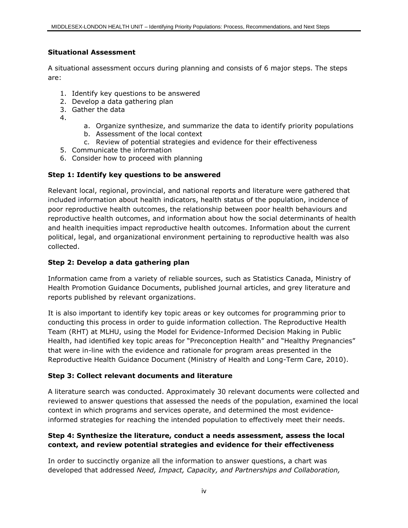# **Situational Assessment**

A situational assessment occurs during planning and consists of 6 major steps. The steps are:

- 1. Identify key questions to be answered
- 2. Develop a data gathering plan
- 3. Gather the data
- 4.
- a. Organize synthesize, and summarize the data to identify priority populations
- b. Assessment of the local context
- c. Review of potential strategies and evidence for their effectiveness
- 5. Communicate the information
- 6. Consider how to proceed with planning

# **Step 1: Identify key questions to be answered**

Relevant local, regional, provincial, and national reports and literature were gathered that included information about health indicators, health status of the population, incidence of poor reproductive health outcomes, the relationship between poor health behaviours and reproductive health outcomes, and information about how the social determinants of health and health inequities impact reproductive health outcomes. Information about the current political, legal, and organizational environment pertaining to reproductive health was also collected.

# **Step 2: Develop a data gathering plan**

Information came from a variety of reliable sources, such as Statistics Canada, Ministry of Health Promotion Guidance Documents, published journal articles, and grey literature and reports published by relevant organizations.

It is also important to identify key topic areas or key outcomes for programming prior to conducting this process in order to guide information collection. The Reproductive Health Team (RHT) at MLHU, using the Model for Evidence-Informed Decision Making in Public Health, had identified key topic areas for "Preconception Health" and "Healthy Pregnancies" that were in-line with the evidence and rationale for program areas presented in the Reproductive Health Guidance Document (Ministry of Health and Long-Term Care, 2010).

# **Step 3: Collect relevant documents and literature**

A literature search was conducted. Approximately 30 relevant documents were collected and reviewed to answer questions that assessed the needs of the population, examined the local context in which programs and services operate, and determined the most evidenceinformed strategies for reaching the intended population to effectively meet their needs.

# **Step 4: Synthesize the literature, conduct a needs assessment, assess the local context, and review potential strategies and evidence for their effectiveness**

In order to succinctly organize all the information to answer questions, a chart was developed that addressed *Need, Impact, Capacity, and Partnerships and Collaboration,*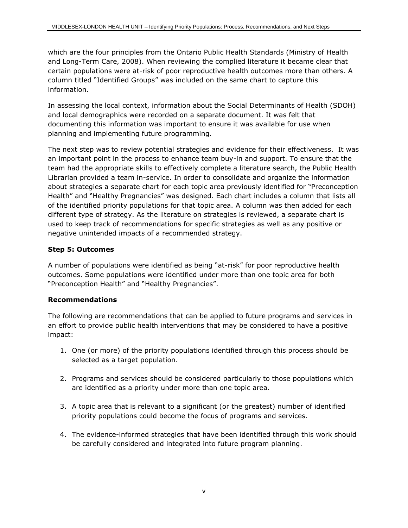which are the four principles from the Ontario Public Health Standards (Ministry of Health and Long-Term Care, 2008). When reviewing the complied literature it became clear that certain populations were at-risk of poor reproductive health outcomes more than others. A column titled "Identified Groups" was included on the same chart to capture this information.

In assessing the local context, information about the Social Determinants of Health (SDOH) and local demographics were recorded on a separate document. It was felt that documenting this information was important to ensure it was available for use when planning and implementing future programming.

The next step was to review potential strategies and evidence for their effectiveness. It was an important point in the process to enhance team buy-in and support. To ensure that the team had the appropriate skills to effectively complete a literature search, the Public Health Librarian provided a team in-service. In order to consolidate and organize the information about strategies a separate chart for each topic area previously identified for "Preconception Health" and "Healthy Pregnancies" was designed. Each chart includes a column that lists all of the identified priority populations for that topic area. A column was then added for each different type of strategy. As the literature on strategies is reviewed, a separate chart is used to keep track of recommendations for specific strategies as well as any positive or negative unintended impacts of a recommended strategy.

# **Step 5: Outcomes**

A number of populations were identified as being "at-risk" for poor reproductive health outcomes. Some populations were identified under more than one topic area for both "Preconception Health" and "Healthy Pregnancies".

# **Recommendations**

The following are recommendations that can be applied to future programs and services in an effort to provide public health interventions that may be considered to have a positive impact:

- 1. One (or more) of the priority populations identified through this process should be selected as a target population.
- 2. Programs and services should be considered particularly to those populations which are identified as a priority under more than one topic area.
- 3. A topic area that is relevant to a significant (or the greatest) number of identified priority populations could become the focus of programs and services.
- 4. The evidence-informed strategies that have been identified through this work should be carefully considered and integrated into future program planning.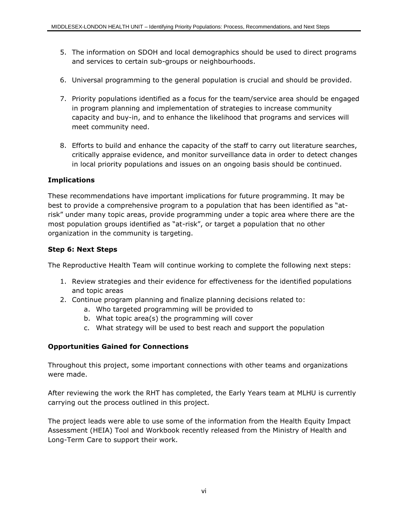- 5. The information on SDOH and local demographics should be used to direct programs and services to certain sub-groups or neighbourhoods.
- 6. Universal programming to the general population is crucial and should be provided.
- 7. Priority populations identified as a focus for the team/service area should be engaged in program planning and implementation of strategies to increase community capacity and buy-in, and to enhance the likelihood that programs and services will meet community need.
- 8. Efforts to build and enhance the capacity of the staff to carry out literature searches, critically appraise evidence, and monitor surveillance data in order to detect changes in local priority populations and issues on an ongoing basis should be continued.

# **Implications**

These recommendations have important implications for future programming. It may be best to provide a comprehensive program to a population that has been identified as "atrisk" under many topic areas, provide programming under a topic area where there are the most population groups identified as "at-risk", or target a population that no other organization in the community is targeting.

# **Step 6: Next Steps**

The Reproductive Health Team will continue working to complete the following next steps:

- 1. Review strategies and their evidence for effectiveness for the identified populations and topic areas
- 2. Continue program planning and finalize planning decisions related to:
	- a. Who targeted programming will be provided to
	- b. What topic area(s) the programming will cover
	- c. What strategy will be used to best reach and support the population

# **Opportunities Gained for Connections**

Throughout this project, some important connections with other teams and organizations were made.

After reviewing the work the RHT has completed, the Early Years team at MLHU is currently carrying out the process outlined in this project.

The project leads were able to use some of the information from the Health Equity Impact Assessment (HEIA) Tool and Workbook recently released from the Ministry of Health and Long-Term Care to support their work.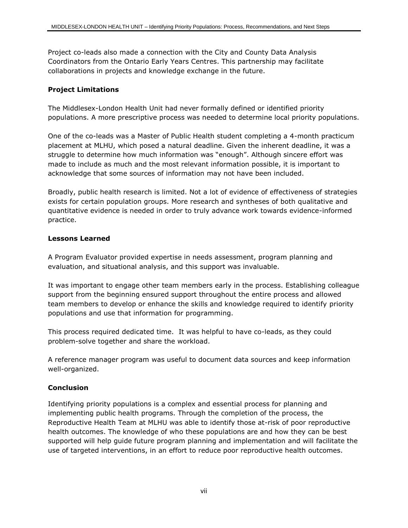Project co-leads also made a connection with the City and County Data Analysis Coordinators from the Ontario Early Years Centres. This partnership may facilitate collaborations in projects and knowledge exchange in the future.

# **Project Limitations**

The Middlesex-London Health Unit had never formally defined or identified priority populations. A more prescriptive process was needed to determine local priority populations.

One of the co-leads was a Master of Public Health student completing a 4-month practicum placement at MLHU, which posed a natural deadline. Given the inherent deadline, it was a struggle to determine how much information was "enough". Although sincere effort was made to include as much and the most relevant information possible, it is important to acknowledge that some sources of information may not have been included.

Broadly, public health research is limited. Not a lot of evidence of effectiveness of strategies exists for certain population groups. More research and syntheses of both qualitative and quantitative evidence is needed in order to truly advance work towards evidence-informed practice.

# **Lessons Learned**

A Program Evaluator provided expertise in needs assessment, program planning and evaluation, and situational analysis, and this support was invaluable.

It was important to engage other team members early in the process. Establishing colleague support from the beginning ensured support throughout the entire process and allowed team members to develop or enhance the skills and knowledge required to identify priority populations and use that information for programming.

This process required dedicated time. It was helpful to have co-leads, as they could problem-solve together and share the workload.

A reference manager program was useful to document data sources and keep information well-organized.

# **Conclusion**

Identifying priority populations is a complex and essential process for planning and implementing public health programs. Through the completion of the process, the Reproductive Health Team at MLHU was able to identify those at-risk of poor reproductive health outcomes. The knowledge of who these populations are and how they can be best supported will help guide future program planning and implementation and will facilitate the use of targeted interventions, in an effort to reduce poor reproductive health outcomes.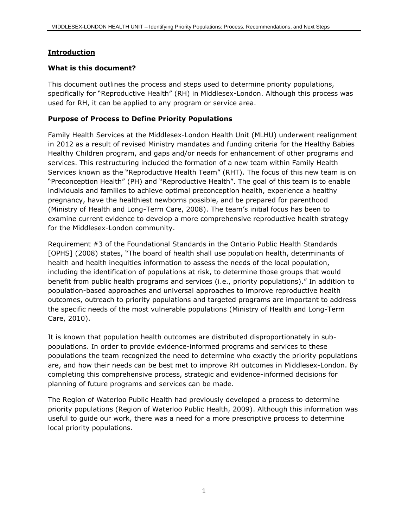# **Introduction**

# **What is this document?**

This document outlines the process and steps used to determine priority populations, specifically for "Reproductive Health" (RH) in Middlesex-London. Although this process was used for RH, it can be applied to any program or service area.

# **Purpose of Process to Define Priority Populations**

Family Health Services at the Middlesex-London Health Unit (MLHU) underwent realignment in 2012 as a result of revised Ministry mandates and funding criteria for the Healthy Babies Healthy Children program, and gaps and/or needs for enhancement of other programs and services. This restructuring included the formation of a new team within Family Health Services known as the "Reproductive Health Team" (RHT). The focus of this new team is on "Preconception Health" (PH) and "Reproductive Health". The goal of this team is to enable individuals and families to achieve optimal preconception health, experience a healthy pregnancy, have the healthiest newborns possible, and be prepared for parenthood (Ministry of Health and Long-Term Care, 2008). The team's initial focus has been to examine current evidence to develop a more comprehensive reproductive health strategy for the Middlesex-London community.

Requirement #3 of the Foundational Standards in the Ontario Public Health Standards [OPHS] (2008) states, "The board of health shall use population health, determinants of health and health inequities information to assess the needs of the local population, including the identification of populations at risk, to determine those groups that would benefit from public health programs and services (i.e., priority populations)." In addition to population-based approaches and universal approaches to improve reproductive health outcomes, outreach to priority populations and targeted programs are important to address the specific needs of the most vulnerable populations (Ministry of Health and Long-Term Care, 2010).

It is known that population health outcomes are distributed disproportionately in subpopulations. In order to provide evidence-informed programs and services to these populations the team recognized the need to determine who exactly the priority populations are, and how their needs can be best met to improve RH outcomes in Middlesex-London. By completing this comprehensive process, strategic and evidence-informed decisions for planning of future programs and services can be made.

The Region of Waterloo Public Health had previously developed a process to determine priority populations (Region of Waterloo Public Health, 2009). Although this information was useful to guide our work, there was a need for a more prescriptive process to determine local priority populations.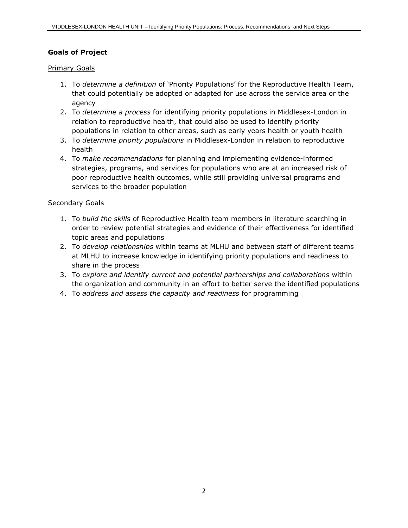## **Goals of Project**

#### Primary Goals

- 1. To *determine a definition* of 'Priority Populations' for the Reproductive Health Team, that could potentially be adopted or adapted for use across the service area or the agency
- 2. To *determine a process* for identifying priority populations in Middlesex-London in relation to reproductive health, that could also be used to identify priority populations in relation to other areas, such as early years health or youth health
- 3. To *determine priority populations* in Middlesex-London in relation to reproductive health
- 4. To *make recommendations* for planning and implementing evidence-informed strategies, programs, and services for populations who are at an increased risk of poor reproductive health outcomes, while still providing universal programs and services to the broader population

#### Secondary Goals

- 1. To *build the skills* of Reproductive Health team members in literature searching in order to review potential strategies and evidence of their effectiveness for identified topic areas and populations
- 2. To *develop relationships* within teams at MLHU and between staff of different teams at MLHU to increase knowledge in identifying priority populations and readiness to share in the process
- 3. To *explore and identify current and potential partnerships and collaborations* within the organization and community in an effort to better serve the identified populations
- 4. To *address and assess the capacity and readiness* for programming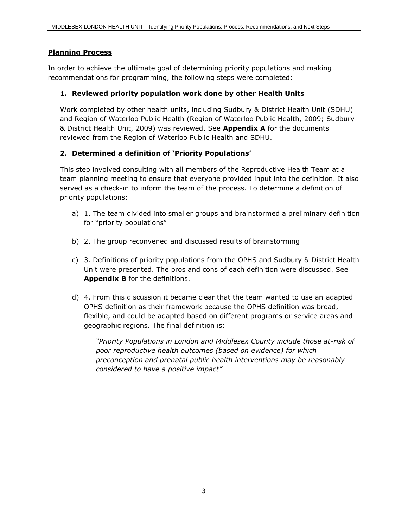## **Planning Process**

In order to achieve the ultimate goal of determining priority populations and making recommendations for programming, the following steps were completed:

# **1. Reviewed priority population work done by other Health Units**

Work completed by other health units, including Sudbury & District Health Unit (SDHU) and Region of Waterloo Public Health (Region of Waterloo Public Health, 2009; Sudbury & District Health Unit, 2009) was reviewed. See **Appendix A** for the documents reviewed from the Region of Waterloo Public Health and SDHU.

# **2. Determined a definition of 'Priority Populations'**

This step involved consulting with all members of the Reproductive Health Team at a team planning meeting to ensure that everyone provided input into the definition. It also served as a check-in to inform the team of the process. To determine a definition of priority populations:

- a) 1. The team divided into smaller groups and brainstormed a preliminary definition for "priority populations"
- b) 2. The group reconvened and discussed results of brainstorming
- c) 3. Definitions of priority populations from the OPHS and Sudbury & District Health Unit were presented. The pros and cons of each definition were discussed. See **Appendix B** for the definitions.
- d) 4. From this discussion it became clear that the team wanted to use an adapted OPHS definition as their framework because the OPHS definition was broad, flexible, and could be adapted based on different programs or service areas and geographic regions. The final definition is:

*"Priority Populations in London and Middlesex County include those at-risk of poor reproductive health outcomes (based on evidence) for which preconception and prenatal public health interventions may be reasonably considered to have a positive impact"*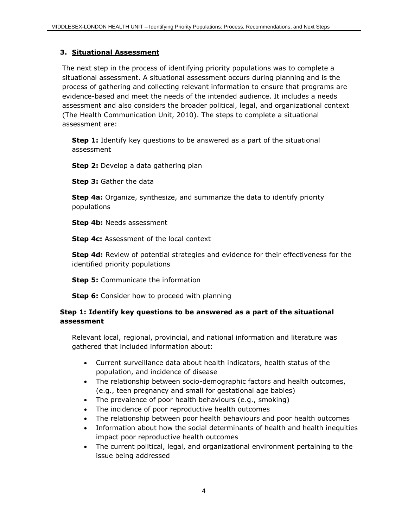# **3. Situational Assessment**

The next step in the process of identifying priority populations was to complete a situational assessment. A situational assessment occurs during planning and is the process of gathering and collecting relevant information to ensure that programs are evidence-based and meet the needs of the intended audience. It includes a needs assessment and also considers the broader political, legal, and organizational context (The Health Communication Unit, 2010). The steps to complete a situational assessment are:

**Step 1:** Identify key questions to be answered as a part of the situational assessment

**Step 2:** Develop a data gathering plan

**Step 3:** Gather the data

**Step 4a:** Organize, synthesize, and summarize the data to identify priority populations

**Step 4b:** Needs assessment

**Step 4c:** Assessment of the local context

**Step 4d:** Review of potential strategies and evidence for their effectiveness for the identified priority populations

**Step 5: Communicate the information** 

**Step 6:** Consider how to proceed with planning

# **Step 1: Identify key questions to be answered as a part of the situational assessment**

Relevant local, regional, provincial, and national information and literature was gathered that included information about:

- Current surveillance data about health indicators, health status of the population, and incidence of disease
- The relationship between socio-demographic factors and health outcomes, (e.g., teen pregnancy and small for gestational age babies)
- The prevalence of poor health behaviours (e.g., smoking)
- The incidence of poor reproductive health outcomes
- The relationship between poor health behaviours and poor health outcomes
- Information about how the social determinants of health and health inequities impact poor reproductive health outcomes
- The current political, legal, and organizational environment pertaining to the issue being addressed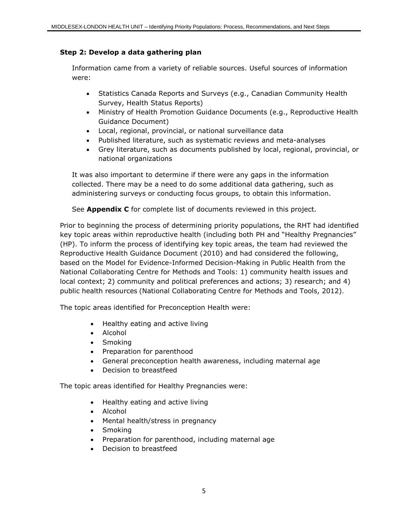# **Step 2: Develop a data gathering plan**

Information came from a variety of reliable sources. Useful sources of information were:

- Statistics Canada Reports and Surveys (e.g., Canadian Community Health Survey, Health Status Reports)
- Ministry of Health Promotion Guidance Documents (e.g., Reproductive Health Guidance Document)
- Local, regional, provincial, or national surveillance data
- Published literature, such as systematic reviews and meta-analyses
- Grey literature, such as documents published by local, regional, provincial, or national organizations

It was also important to determine if there were any gaps in the information collected. There may be a need to do some additional data gathering, such as administering surveys or conducting focus groups, to obtain this information.

See **Appendix C** for complete list of documents reviewed in this project.

Prior to beginning the process of determining priority populations, the RHT had identified key topic areas within reproductive health (including both PH and "Healthy Pregnancies" (HP). To inform the process of identifying key topic areas, the team had reviewed the Reproductive Health Guidance Document (2010) and had considered the following, based on the Model for Evidence-Informed Decision-Making in Public Health from the National Collaborating Centre for Methods and Tools: 1) community health issues and local context; 2) community and political preferences and actions; 3) research; and 4) public health resources (National Collaborating Centre for Methods and Tools, 2012).

The topic areas identified for Preconception Health were:

- Healthy eating and active living
- Alcohol
- Smoking
- Preparation for parenthood
- General preconception health awareness, including maternal age
- Decision to breastfeed

The topic areas identified for Healthy Pregnancies were:

- Healthy eating and active living
- Alcohol
- Mental health/stress in pregnancy
- Smoking
- Preparation for parenthood, including maternal age
- Decision to breastfeed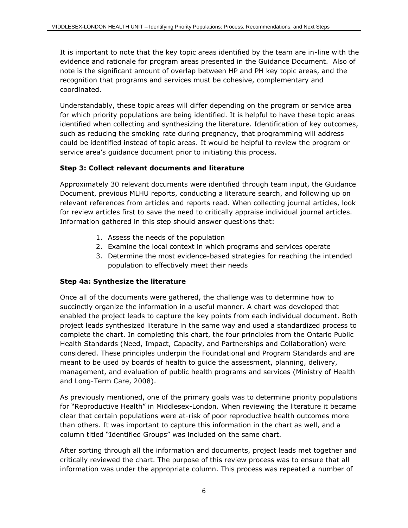It is important to note that the key topic areas identified by the team are in-line with the evidence and rationale for program areas presented in the Guidance Document. Also of note is the significant amount of overlap between HP and PH key topic areas, and the recognition that programs and services must be cohesive, complementary and coordinated.

Understandably, these topic areas will differ depending on the program or service area for which priority populations are being identified. It is helpful to have these topic areas identified when collecting and synthesizing the literature. Identification of key outcomes, such as reducing the smoking rate during pregnancy, that programming will address could be identified instead of topic areas. It would be helpful to review the program or service area's guidance document prior to initiating this process.

# **Step 3: Collect relevant documents and literature**

Approximately 30 relevant documents were identified through team input, the Guidance Document, previous MLHU reports, conducting a literature search, and following up on relevant references from articles and reports read. When collecting journal articles, look for review articles first to save the need to critically appraise individual journal articles. Information gathered in this step should answer questions that:

- 1. Assess the needs of the population
- 2. Examine the local context in which programs and services operate
- 3. Determine the most evidence-based strategies for reaching the intended population to effectively meet their needs

# **Step 4a: Synthesize the literature**

Once all of the documents were gathered, the challenge was to determine how to succinctly organize the information in a useful manner. A chart was developed that enabled the project leads to capture the key points from each individual document. Both project leads synthesized literature in the same way and used a standardized process to complete the chart. In completing this chart, the four principles from the Ontario Public Health Standards (Need, Impact, Capacity, and Partnerships and Collaboration) were considered. These principles underpin the Foundational and Program Standards and are meant to be used by boards of health to guide the assessment, planning, delivery, management, and evaluation of public health programs and services (Ministry of Health and Long-Term Care, 2008).

As previously mentioned, one of the primary goals was to determine priority populations for "Reproductive Health" in Middlesex-London. When reviewing the literature it became clear that certain populations were at-risk of poor reproductive health outcomes more than others. It was important to capture this information in the chart as well, and a column titled "Identified Groups" was included on the same chart.

After sorting through all the information and documents, project leads met together and critically reviewed the chart. The purpose of this review process was to ensure that all information was under the appropriate column. This process was repeated a number of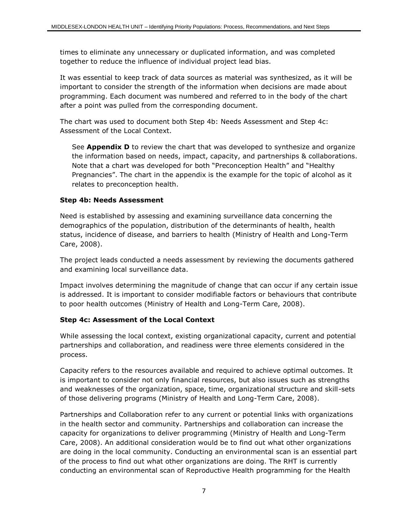times to eliminate any unnecessary or duplicated information, and was completed together to reduce the influence of individual project lead bias.

It was essential to keep track of data sources as material was synthesized, as it will be important to consider the strength of the information when decisions are made about programming. Each document was numbered and referred to in the body of the chart after a point was pulled from the corresponding document.

The chart was used to document both Step 4b: Needs Assessment and Step 4c: Assessment of the Local Context.

See **Appendix D** to review the chart that was developed to synthesize and organize the information based on needs, impact, capacity, and partnerships & collaborations. Note that a chart was developed for both "Preconception Health" and "Healthy Pregnancies". The chart in the appendix is the example for the topic of alcohol as it relates to preconception health.

# **Step 4b: Needs Assessment**

Need is established by assessing and examining surveillance data concerning the demographics of the population, distribution of the determinants of health, health status, incidence of disease, and barriers to health (Ministry of Health and Long-Term Care, 2008).

The project leads conducted a needs assessment by reviewing the documents gathered and examining local surveillance data.

Impact involves determining the magnitude of change that can occur if any certain issue is addressed. It is important to consider modifiable factors or behaviours that contribute to poor health outcomes (Ministry of Health and Long-Term Care, 2008).

# **Step 4c: Assessment of the Local Context**

While assessing the local context, existing organizational capacity, current and potential partnerships and collaboration, and readiness were three elements considered in the process.

Capacity refers to the resources available and required to achieve optimal outcomes. It is important to consider not only financial resources, but also issues such as strengths and weaknesses of the organization, space, time, organizational structure and skill-sets of those delivering programs (Ministry of Health and Long-Term Care, 2008).

Partnerships and Collaboration refer to any current or potential links with organizations in the health sector and community. Partnerships and collaboration can increase the capacity for organizations to deliver programming (Ministry of Health and Long-Term Care, 2008). An additional consideration would be to find out what other organizations are doing in the local community. Conducting an environmental scan is an essential part of the process to find out what other organizations are doing. The RHT is currently conducting an environmental scan of Reproductive Health programming for the Health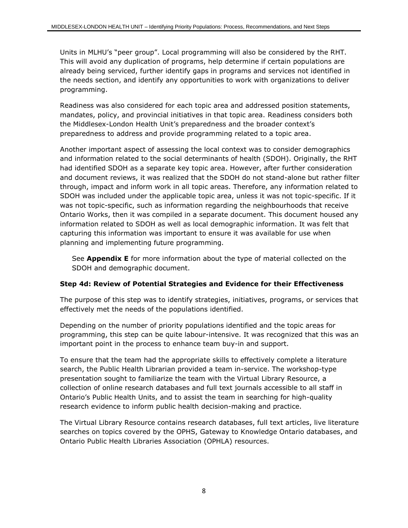Units in MLHU's "peer group". Local programming will also be considered by the RHT. This will avoid any duplication of programs, help determine if certain populations are already being serviced, further identify gaps in programs and services not identified in the needs section, and identify any opportunities to work with organizations to deliver programming.

Readiness was also considered for each topic area and addressed position statements, mandates, policy, and provincial initiatives in that topic area. Readiness considers both the Middlesex-London Health Unit's preparedness and the broader context's preparedness to address and provide programming related to a topic area.

Another important aspect of assessing the local context was to consider demographics and information related to the social determinants of health (SDOH). Originally, the RHT had identified SDOH as a separate key topic area. However, after further consideration and document reviews, it was realized that the SDOH do not stand-alone but rather filter through, impact and inform work in all topic areas. Therefore, any information related to SDOH was included under the applicable topic area, unless it was not topic-specific. If it was not topic-specific, such as information regarding the neighbourhoods that receive Ontario Works, then it was compiled in a separate document. This document housed any information related to SDOH as well as local demographic information. It was felt that capturing this information was important to ensure it was available for use when planning and implementing future programming.

See **Appendix E** for more information about the type of material collected on the SDOH and demographic document.

# **Step 4d: Review of Potential Strategies and Evidence for their Effectiveness**

The purpose of this step was to identify strategies, initiatives, programs, or services that effectively met the needs of the populations identified.

Depending on the number of priority populations identified and the topic areas for programming, this step can be quite labour-intensive. It was recognized that this was an important point in the process to enhance team buy-in and support.

To ensure that the team had the appropriate skills to effectively complete a literature search, the Public Health Librarian provided a team in-service. The workshop-type presentation sought to familiarize the team with the Virtual Library Resource, a collection of online research databases and full text journals accessible to all staff in Ontario's Public Health Units, and to assist the team in searching for high-quality research evidence to inform public health decision-making and practice.

The Virtual Library Resource contains research databases, full text articles, live literature searches on topics covered by the OPHS, Gateway to Knowledge Ontario databases, and Ontario Public Health Libraries Association (OPHLA) resources.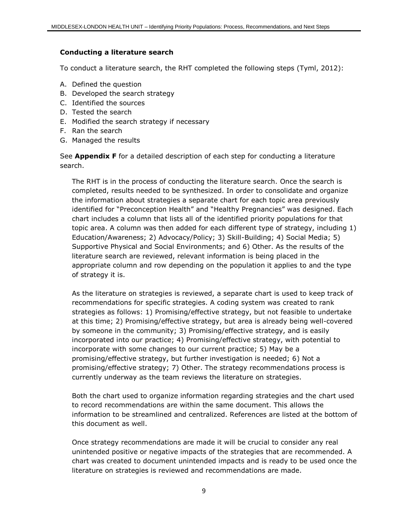#### **Conducting a literature search**

To conduct a literature search, the RHT completed the following steps (Tyml, 2012):

- A. Defined the question
- B. Developed the search strategy
- C. Identified the sources
- D. Tested the search
- E. Modified the search strategy if necessary
- F. Ran the search
- G. Managed the results

See **Appendix F** for a detailed description of each step for conducting a literature search.

The RHT is in the process of conducting the literature search. Once the search is completed, results needed to be synthesized. In order to consolidate and organize the information about strategies a separate chart for each topic area previously identified for "Preconception Health" and "Healthy Pregnancies" was designed. Each chart includes a column that lists all of the identified priority populations for that topic area. A column was then added for each different type of strategy, including 1) Education/Awareness; 2) Advocacy/Policy; 3) Skill-Building; 4) Social Media; 5) Supportive Physical and Social Environments; and 6) Other. As the results of the literature search are reviewed, relevant information is being placed in the appropriate column and row depending on the population it applies to and the type of strategy it is.

As the literature on strategies is reviewed, a separate chart is used to keep track of recommendations for specific strategies. A coding system was created to rank strategies as follows: 1) Promising/effective strategy, but not feasible to undertake at this time; 2) Promising/effective strategy, but area is already being well-covered by someone in the community; 3) Promising/effective strategy, and is easily incorporated into our practice; 4) Promising/effective strategy, with potential to incorporate with some changes to our current practice; 5) May be a promising/effective strategy, but further investigation is needed; 6) Not a promising/effective strategy; 7) Other. The strategy recommendations process is currently underway as the team reviews the literature on strategies.

Both the chart used to organize information regarding strategies and the chart used to record recommendations are within the same document. This allows the information to be streamlined and centralized. References are listed at the bottom of this document as well.

Once strategy recommendations are made it will be crucial to consider any real unintended positive or negative impacts of the strategies that are recommended. A chart was created to document unintended impacts and is ready to be used once the literature on strategies is reviewed and recommendations are made.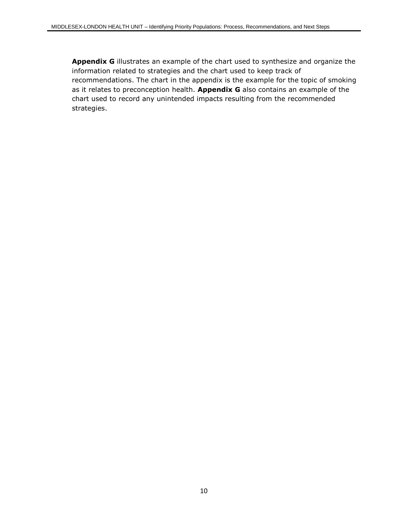**Appendix G** illustrates an example of the chart used to synthesize and organize the information related to strategies and the chart used to keep track of recommendations. The chart in the appendix is the example for the topic of smoking as it relates to preconception health. **Appendix G** also contains an example of the chart used to record any unintended impacts resulting from the recommended strategies.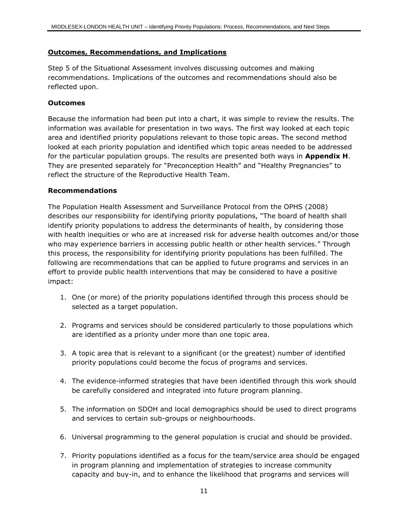#### **Outcomes, Recommendations, and Implications**

Step 5 of the Situational Assessment involves discussing outcomes and making recommendations. Implications of the outcomes and recommendations should also be reflected upon.

#### **Outcomes**

Because the information had been put into a chart, it was simple to review the results. The information was available for presentation in two ways. The first way looked at each topic area and identified priority populations relevant to those topic areas. The second method looked at each priority population and identified which topic areas needed to be addressed for the particular population groups. The results are presented both ways in **Appendix H**. They are presented separately for "Preconception Health" and "Healthy Pregnancies" to reflect the structure of the Reproductive Health Team.

#### **Recommendations**

The Population Health Assessment and Surveillance Protocol from the OPHS (2008) describes our responsibility for identifying priority populations, "The board of health shall identify priority populations to address the determinants of health, by considering those with health inequities or who are at increased risk for adverse health outcomes and/or those who may experience barriers in accessing public health or other health services." Through this process, the responsibility for identifying priority populations has been fulfilled. The following are recommendations that can be applied to future programs and services in an effort to provide public health interventions that may be considered to have a positive impact:

- 1. One (or more) of the priority populations identified through this process should be selected as a target population.
- 2. Programs and services should be considered particularly to those populations which are identified as a priority under more than one topic area.
- 3. A topic area that is relevant to a significant (or the greatest) number of identified priority populations could become the focus of programs and services.
- 4. The evidence-informed strategies that have been identified through this work should be carefully considered and integrated into future program planning.
- 5. The information on SDOH and local demographics should be used to direct programs and services to certain sub-groups or neighbourhoods.
- 6. Universal programming to the general population is crucial and should be provided.
- 7. Priority populations identified as a focus for the team/service area should be engaged in program planning and implementation of strategies to increase community capacity and buy-in, and to enhance the likelihood that programs and services will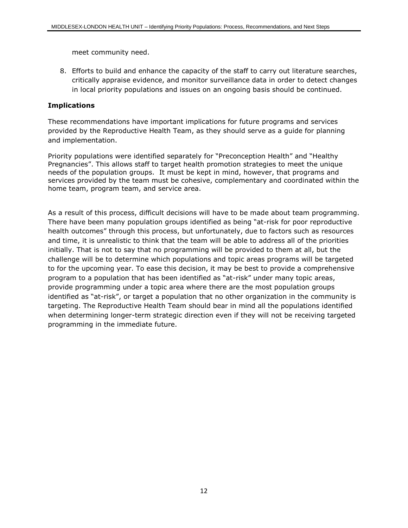meet community need.

8. Efforts to build and enhance the capacity of the staff to carry out literature searches, critically appraise evidence, and monitor surveillance data in order to detect changes in local priority populations and issues on an ongoing basis should be continued.

# **Implications**

These recommendations have important implications for future programs and services provided by the Reproductive Health Team, as they should serve as a guide for planning and implementation.

Priority populations were identified separately for "Preconception Health" and "Healthy Pregnancies". This allows staff to target health promotion strategies to meet the unique needs of the population groups. It must be kept in mind, however, that programs and services provided by the team must be cohesive, complementary and coordinated within the home team, program team, and service area.

As a result of this process, difficult decisions will have to be made about team programming. There have been many population groups identified as being "at-risk for poor reproductive health outcomes" through this process, but unfortunately, due to factors such as resources and time, it is unrealistic to think that the team will be able to address all of the priorities initially. That is not to say that no programming will be provided to them at all, but the challenge will be to determine which populations and topic areas programs will be targeted to for the upcoming year. To ease this decision, it may be best to provide a comprehensive program to a population that has been identified as "at-risk" under many topic areas, provide programming under a topic area where there are the most population groups identified as "at-risk", or target a population that no other organization in the community is targeting. The Reproductive Health Team should bear in mind all the populations identified when determining longer-term strategic direction even if they will not be receiving targeted programming in the immediate future.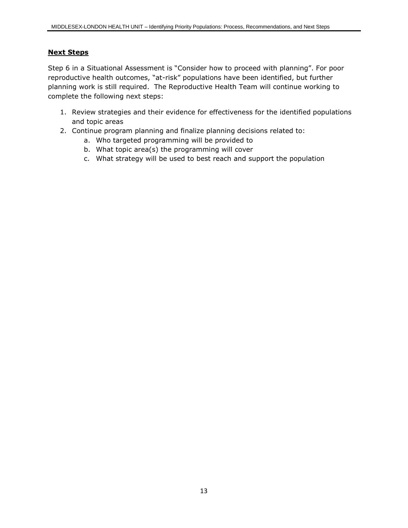# **Next Steps**

Step 6 in a Situational Assessment is "Consider how to proceed with planning". For poor reproductive health outcomes, "at-risk" populations have been identified, but further planning work is still required. The Reproductive Health Team will continue working to complete the following next steps:

- 1. Review strategies and their evidence for effectiveness for the identified populations and topic areas
- 2. Continue program planning and finalize planning decisions related to:
	- a. Who targeted programming will be provided to
	- b. What topic area(s) the programming will cover
	- c. What strategy will be used to best reach and support the population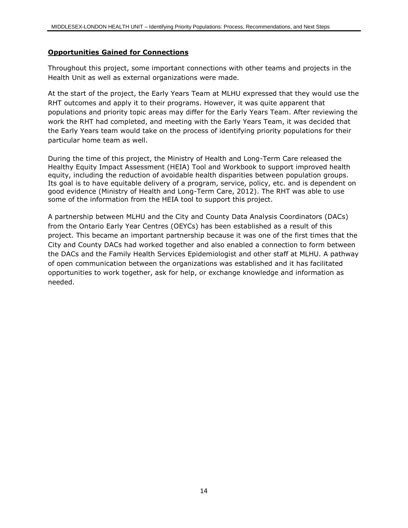#### **Opportunities Gained for Connections**

Throughout this project, some important connections with other teams and projects in the Health Unit as well as external organizations were made.

At the start of the project, the Early Years Team at MLHU expressed that they would use the RHT outcomes and apply it to their programs. However, it was quite apparent that populations and priority topic areas may differ for the Early Years Team. After reviewing the work the RHT had completed, and meeting with the Early Years Team, it was decided that the Early Years team would take on the process of identifying priority populations for their particular home team as well.

During the time of this project, the Ministry of Health and Long-Term Care released the Healthy Equity Impact Assessment (HEIA) Tool and Workbook to support improved health equity, including the reduction of avoidable health disparities between population groups. Its goal is to have equitable delivery of a program, service, policy, etc. and is dependent on good evidence (Ministry of Health and Long-Term Care, 2012). The RHT was able to use some of the information from the HEIA tool to support this project.

A partnership between MLHU and the City and County Data Analysis Coordinators (DACs) from the Ontario Early Year Centres (OEYCs) has been established as a result of this project. This became an important partnership because it was one of the first times that the City and County DACs had worked together and also enabled a connection to form between the DACs and the Family Health Services Epidemiologist and other staff at MLHU. A pathway of open communication between the organizations was established and it has facilitated opportunities to work together, ask for help, or exchange knowledge and information as needed.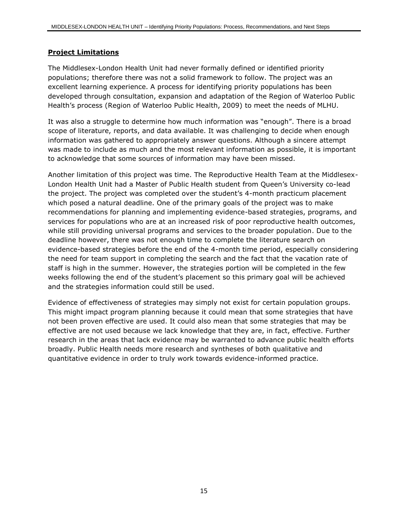# **Project Limitations**

The Middlesex-London Health Unit had never formally defined or identified priority populations; therefore there was not a solid framework to follow. The project was an excellent learning experience. A process for identifying priority populations has been developed through consultation, expansion and adaptation of the Region of Waterloo Public Health's process (Region of Waterloo Public Health, 2009) to meet the needs of MLHU.

It was also a struggle to determine how much information was "enough". There is a broad scope of literature, reports, and data available. It was challenging to decide when enough information was gathered to appropriately answer questions. Although a sincere attempt was made to include as much and the most relevant information as possible, it is important to acknowledge that some sources of information may have been missed.

Another limitation of this project was time. The Reproductive Health Team at the Middlesex-London Health Unit had a Master of Public Health student from Queen's University co-lead the project. The project was completed over the student's 4-month practicum placement which posed a natural deadline. One of the primary goals of the project was to make recommendations for planning and implementing evidence-based strategies, programs, and services for populations who are at an increased risk of poor reproductive health outcomes, while still providing universal programs and services to the broader population. Due to the deadline however, there was not enough time to complete the literature search on evidence-based strategies before the end of the 4-month time period, especially considering the need for team support in completing the search and the fact that the vacation rate of staff is high in the summer. However, the strategies portion will be completed in the few weeks following the end of the student's placement so this primary goal will be achieved and the strategies information could still be used.

Evidence of effectiveness of strategies may simply not exist for certain population groups. This might impact program planning because it could mean that some strategies that have not been proven effective are used. It could also mean that some strategies that may be effective are not used because we lack knowledge that they are, in fact, effective. Further research in the areas that lack evidence may be warranted to advance public health efforts broadly. Public Health needs more research and syntheses of both qualitative and quantitative evidence in order to truly work towards evidence-informed practice.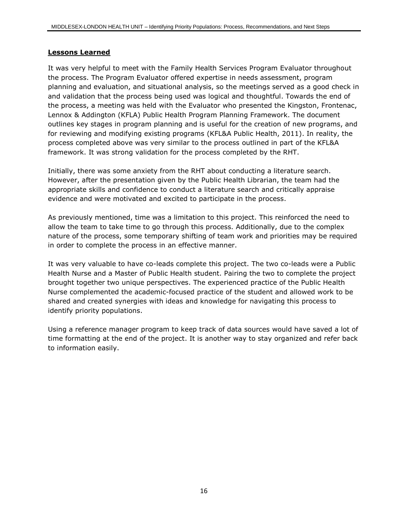## **Lessons Learned**

It was very helpful to meet with the Family Health Services Program Evaluator throughout the process. The Program Evaluator offered expertise in needs assessment, program planning and evaluation, and situational analysis, so the meetings served as a good check in and validation that the process being used was logical and thoughtful. Towards the end of the process, a meeting was held with the Evaluator who presented the Kingston, Frontenac, Lennox & Addington (KFLA) Public Health Program Planning Framework. The document outlines key stages in program planning and is useful for the creation of new programs, and for reviewing and modifying existing programs (KFL&A Public Health, 2011). In reality, the process completed above was very similar to the process outlined in part of the KFL&A framework. It was strong validation for the process completed by the RHT.

Initially, there was some anxiety from the RHT about conducting a literature search. However, after the presentation given by the Public Health Librarian, the team had the appropriate skills and confidence to conduct a literature search and critically appraise evidence and were motivated and excited to participate in the process.

As previously mentioned, time was a limitation to this project. This reinforced the need to allow the team to take time to go through this process. Additionally, due to the complex nature of the process, some temporary shifting of team work and priorities may be required in order to complete the process in an effective manner.

It was very valuable to have co-leads complete this project. The two co-leads were a Public Health Nurse and a Master of Public Health student. Pairing the two to complete the project brought together two unique perspectives. The experienced practice of the Public Health Nurse complemented the academic-focused practice of the student and allowed work to be shared and created synergies with ideas and knowledge for navigating this process to identify priority populations.

Using a reference manager program to keep track of data sources would have saved a lot of time formatting at the end of the project. It is another way to stay organized and refer back to information easily.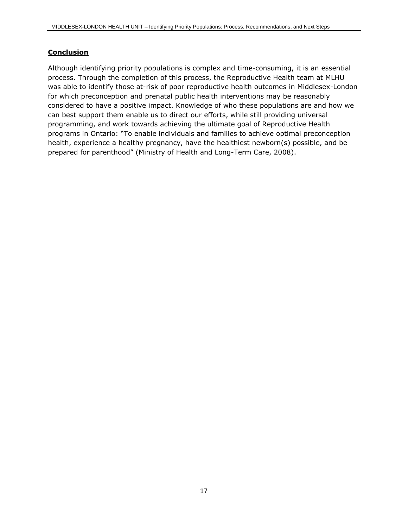#### **Conclusion**

Although identifying priority populations is complex and time-consuming, it is an essential process. Through the completion of this process, the Reproductive Health team at MLHU was able to identify those at-risk of poor reproductive health outcomes in Middlesex-London for which preconception and prenatal public health interventions may be reasonably considered to have a positive impact. Knowledge of who these populations are and how we can best support them enable us to direct our efforts, while still providing universal programming, and work towards achieving the ultimate goal of Reproductive Health programs in Ontario: "To enable individuals and families to achieve optimal preconception health, experience a healthy pregnancy, have the healthiest newborn(s) possible, and be prepared for parenthood" (Ministry of Health and Long-Term Care, 2008).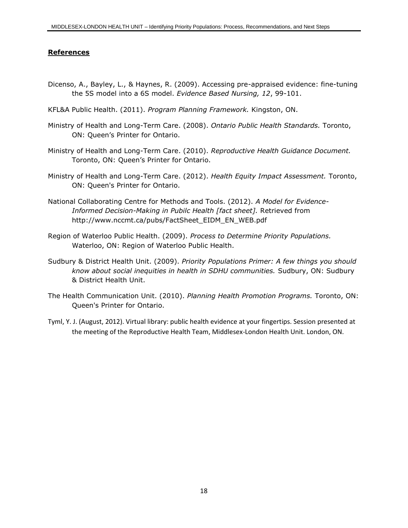## **References**

- Dicenso, A., Bayley, L., & Haynes, R. (2009). Accessing pre-appraised evidence: fine-tuning the 5S model into a 6S model. *Evidence Based Nursing, 12*, 99-101.
- KFL&A Public Health. (2011). *Program Planning Framework.* Kingston, ON.
- Ministry of Health and Long-Term Care. (2008). *Ontario Public Health Standards.* Toronto, ON: Queen's Printer for Ontario.
- Ministry of Health and Long-Term Care. (2010). *Reproductive Health Guidance Document.* Toronto, ON: Queen's Printer for Ontario.
- Ministry of Health and Long-Term Care. (2012). *Health Equity Impact Assessment.* Toronto, ON: Queen's Printer for Ontario.
- National Collaborating Centre for Methods and Tools. (2012). *A Model for Evidence-Informed Decision-Making in Pubilc Health [fact sheet].* Retrieved from http://www.nccmt.ca/pubs/FactSheet\_EIDM\_EN\_WEB.pdf
- Region of Waterloo Public Health. (2009). *Process to Determine Priority Populations.* Waterloo, ON: Region of Waterloo Public Health.
- Sudbury & District Health Unit. (2009). *Priority Populations Primer: A few things you should know about social inequities in health in SDHU communities.* Sudbury, ON: Sudbury & District Health Unit.
- The Health Communication Unit. (2010). *Planning Health Promotion Programs.* Toronto, ON: Queen's Printer for Ontario.
- Tyml, Y. J. (August, 2012). Virtual library: public health evidence at your fingertips. Session presented at the meeting of the Reproductive Health Team, Middlesex-London Health Unit. London, ON.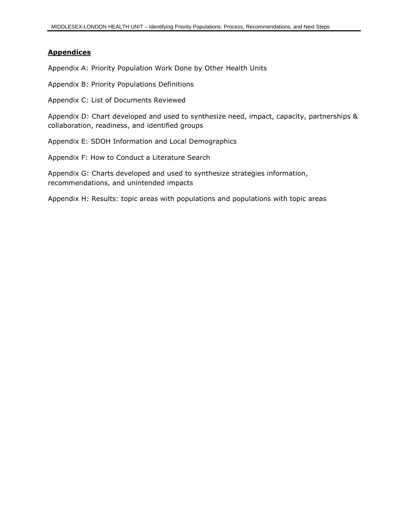#### **Appendices**

Appendix A: Priority Population Work Done by Other Health Units

Appendix B: Priority Populations Definitions

Appendix C: List of Documents Reviewed

Appendix D: Chart developed and used to synthesize need, impact, capacity, partnerships & collaboration, readiness, and identified groups

Appendix E: SDOH Information and Local Demographics

Appendix F: How to Conduct a Literature Search

Appendix G: Charts developed and used to synthesize strategies information, recommendations, and unintended impacts

Appendix H: Results: topic areas with populations and populations with topic areas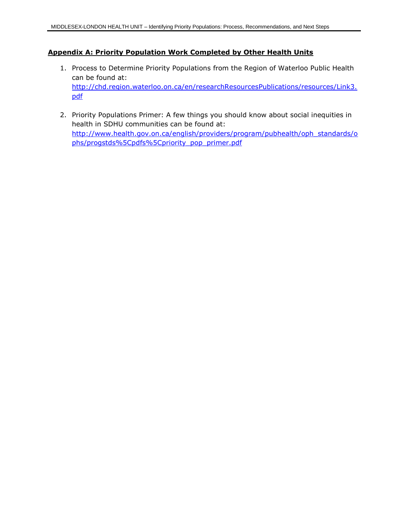#### **Appendix A: Priority Population Work Completed by Other Health Units**

- 1. Process to Determine Priority Populations from the Region of Waterloo Public Health can be found at: [http://chd.region.waterloo.on.ca/en/researchResourcesPublications/resources/Link3.](http://chd.region.waterloo.on.ca/en/researchResourcesPublications/resources/Link3.pdf) [pdf](http://chd.region.waterloo.on.ca/en/researchResourcesPublications/resources/Link3.pdf)
- 2. Priority Populations Primer: A few things you should know about social inequities in health in SDHU communities can be found at: [http://www.health.gov.on.ca/english/providers/program/pubhealth/oph\\_standards/o](http://www.health.gov.on.ca/english/providers/program/pubhealth/oph_standards/ophs/progstds%5Cpdfs%5Cpriority_pop_primer.pdf) [phs/progstds%5Cpdfs%5Cpriority\\_pop\\_primer.pdf](http://www.health.gov.on.ca/english/providers/program/pubhealth/oph_standards/ophs/progstds%5Cpdfs%5Cpriority_pop_primer.pdf)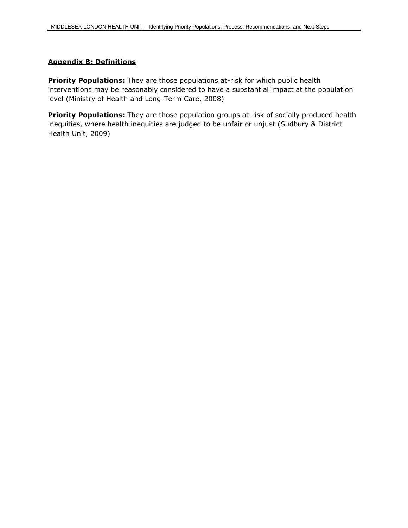## **Appendix B: Definitions**

**Priority Populations:** They are those populations at-risk for which public health interventions may be reasonably considered to have a substantial impact at the population level (Ministry of Health and Long-Term Care, 2008)

**Priority Populations:** They are those population groups at-risk of socially produced health inequities, where health inequities are judged to be unfair or unjust (Sudbury & District Health Unit, 2009)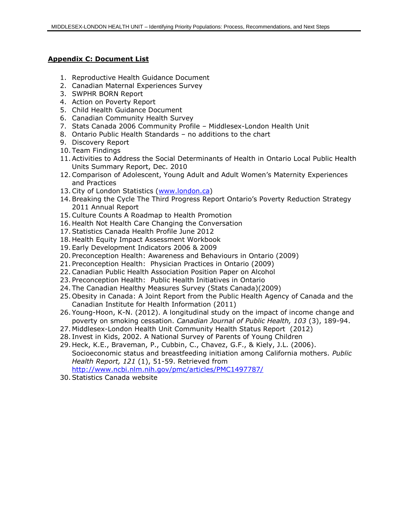## **Appendix C: Document List**

- 1. Reproductive Health Guidance Document
- 2. Canadian Maternal Experiences Survey
- 3. SWPHR BORN Report
- 4. Action on Poverty Report
- 5. Child Health Guidance Document
- 6. Canadian Community Health Survey
- 7. Stats Canada 2006 Community Profile Middlesex-London Health Unit
- 8. Ontario Public Health Standards no additions to the chart
- 9. Discovery Report
- 10. Team Findings
- 11.Activities to Address the Social Determinants of Health in Ontario Local Public Health Units Summary Report, Dec. 2010
- 12.Comparison of Adolescent, Young Adult and Adult Women's Maternity Experiences and Practices
- 13.City of London Statistics [\(www.london.ca\)](http://www.london.ca/)
- 14.Breaking the Cycle The Third Progress Report Ontario's Poverty Reduction Strategy 2011 Annual Report
- 15.Culture Counts A Roadmap to Health Promotion
- 16. Health Not Health Care Changing the Conversation
- 17.Statistics Canada Health Profile June 2012
- 18. Health Equity Impact Assessment Workbook
- 19. Early Development Indicators 2006 & 2009
- 20. Preconception Health: Awareness and Behaviours in Ontario (2009)
- 21. Preconception Health: Physician Practices in Ontario (2009)
- 22.Canadian Public Health Association Position Paper on Alcohol
- 23. Preconception Health: Public Health Initiatives in Ontario
- 24. The Canadian Healthy Measures Survey (Stats Canada)(2009)
- 25. Obesity in Canada: A Joint Report from the Public Health Agency of Canada and the Canadian Institute for Health Information (2011)
- 26. Young-Hoon, K-N. (2012). A longitudinal study on the impact of income change and poverty on smoking cessation. *Canadian Journal of Public Health, 103* (3), 189-94.
- 27. Middlesex-London Health Unit Community Health Status Report (2012)
- 28. Invest in Kids, 2002. A National Survey of Parents of Young Children
- 29. Heck, K.E., Braveman, P., Cubbin, C., Chavez, G.F., & Kiely, J.L. (2006). Socioeconomic status and breastfeeding initiation among California mothers. *Public Health Report, 121* (1), 51-59. Retrieved from <http://www.ncbi.nlm.nih.gov/pmc/articles/PMC1497787/>
- 30.Statistics Canada website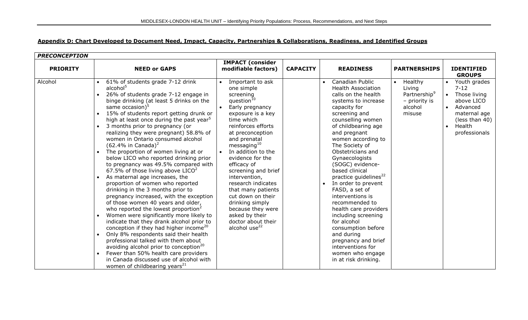# **Appendix D: Chart Developed to Document Need, Impact, Capacity, Partnerships & Collaborations, Readiness, and Identified Groups**

| <b>PRECONCEPTION</b> |                                                                                                                                                                                                                                                                                                                                                                                                                                                                                                                                                                                                                                                                                                                                                                                                                                                                                                                                                                                                                                                                                                                                                                                                                                                                                                                      |                                                                                                                                                                                                                                                                                                                                                                                                                                                                                                                  |                 |                                                                                                                                                                                                                                                                                                                                                                                                                                                                                                                                                                                                                             |                                                                                                  |                                                                                                                                 |
|----------------------|----------------------------------------------------------------------------------------------------------------------------------------------------------------------------------------------------------------------------------------------------------------------------------------------------------------------------------------------------------------------------------------------------------------------------------------------------------------------------------------------------------------------------------------------------------------------------------------------------------------------------------------------------------------------------------------------------------------------------------------------------------------------------------------------------------------------------------------------------------------------------------------------------------------------------------------------------------------------------------------------------------------------------------------------------------------------------------------------------------------------------------------------------------------------------------------------------------------------------------------------------------------------------------------------------------------------|------------------------------------------------------------------------------------------------------------------------------------------------------------------------------------------------------------------------------------------------------------------------------------------------------------------------------------------------------------------------------------------------------------------------------------------------------------------------------------------------------------------|-----------------|-----------------------------------------------------------------------------------------------------------------------------------------------------------------------------------------------------------------------------------------------------------------------------------------------------------------------------------------------------------------------------------------------------------------------------------------------------------------------------------------------------------------------------------------------------------------------------------------------------------------------------|--------------------------------------------------------------------------------------------------|---------------------------------------------------------------------------------------------------------------------------------|
| <b>PRIORITY</b>      | <b>NEED or GAPS</b>                                                                                                                                                                                                                                                                                                                                                                                                                                                                                                                                                                                                                                                                                                                                                                                                                                                                                                                                                                                                                                                                                                                                                                                                                                                                                                  | <b>IMPACT</b> (consider<br>modifiable factors)                                                                                                                                                                                                                                                                                                                                                                                                                                                                   | <b>CAPACITY</b> | <b>READINESS</b>                                                                                                                                                                                                                                                                                                                                                                                                                                                                                                                                                                                                            | <b>PARTNERSHIPS</b>                                                                              | <b>IDENTIFIED</b><br><b>GROUPS</b>                                                                                              |
| Alcohol              | 61% of students grade 7-12 drink<br>alcohol <sup>5</sup><br>26% of students grade 7-12 engage in<br>binge drinking (at least 5 drinks on the<br>same occasion) $5$<br>15% of students report getting drunk or<br>$\bullet$<br>high at least once during the past year <sup>5</sup><br>3 months prior to pregnancy (or<br>$\bullet$<br>realizing they were pregnant) 58.8% of<br>women in Ontario consumed alcohol<br>$(62.4\%$ in Canada) <sup>2</sup><br>The proportion of women living at or<br>$\bullet$<br>below LICO who reported drinking prior<br>to pregnancy was 49.5% compared with<br>67.5% of those living above $LICO2$<br>As maternal age increases, the<br>proportion of women who reported<br>drinking in the 3 months prior to<br>pregnancy increased, with the exception<br>of those women 40 years and older,<br>who reported the lowest proportion <sup>2</sup><br>Women were significantly more likely to<br>indicate that they drank alcohol prior to<br>conception if they had higher income <sup>20</sup><br>Only 8% respondents said their health<br>professional talked with them about<br>avoiding alcohol prior to conception <sup>20</sup><br>Fewer than 50% health care providers<br>$\bullet$<br>in Canada discussed use of alcohol with<br>women of childbearing years <sup>21</sup> | Important to ask<br>one simple<br>screening<br>question <sup>10</sup><br>Early pregnancy<br>$\bullet$<br>exposure is a key<br>time which<br>reinforces efforts<br>at preconception<br>and prenatal<br>messaging $10$<br>In addition to the<br>$\bullet$<br>evidence for the<br>efficacy of<br>screening and brief<br>intervention,<br>research indicates<br>that many patients<br>cut down on their<br>drinking simply<br>because they were<br>asked by their<br>doctor about their<br>alcohol use <sup>22</sup> |                 | Canadian Public<br><b>Health Association</b><br>calls on the health<br>systems to increase<br>capacity for<br>screening and<br>counselling women<br>of childbearing age<br>and pregnant<br>women according to<br>The Society of<br>Obstetricians and<br>Gynaecologists<br>(SOGC) evidence-<br>based clinical<br>practice guidelines <sup>22</sup><br>In order to prevent<br>FASD, a set of<br>interventions is<br>recommended to<br>health care providers<br>including screening<br>for alcohol<br>consumption before<br>and during<br>pregnancy and brief<br>interventions for<br>women who engage<br>in at risk drinking. | Healthy<br>$\bullet$<br>Living<br>Partnership <sup>9</sup><br>- priority is<br>alcohol<br>misuse | Youth grades<br>$7 - 12$<br>Those living<br>above LICO<br>Advanced<br>maternal age<br>(less than 40)<br>Health<br>professionals |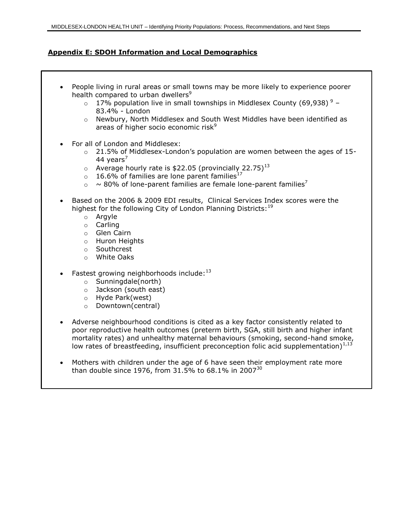# **Appendix E: SDOH Information and Local Demographics**

| People living in rural areas or small towns may be more likely to experience poorer<br>health compared to urban dwellers <sup>9</sup><br>17% population live in small townships in Middlesex County (69,938) <sup>9</sup> -<br>$\circ$<br>83.4% - London<br>o Newbury, North Middlesex and South West Middles have been identified as<br>areas of higher socio economic risk <sup>9</sup> |
|-------------------------------------------------------------------------------------------------------------------------------------------------------------------------------------------------------------------------------------------------------------------------------------------------------------------------------------------------------------------------------------------|
| For all of London and Middlesex:<br>21.5% of Middlesex-London's population are women between the ages of 15-<br>$\circ$<br>44 years $^7$<br>Average hourly rate is $$22.05$ (provincially 22.75) <sup>13</sup><br>$\circ$<br>16.6% of families are lone parent families <sup>17</sup><br>$\circ$<br>$\circ$ ~ 80% of lone-parent families are female lone-parent families <sup>7</sup>    |
| Based on the 2006 & 2009 EDI results, Clinical Services Index scores were the<br>highest for the following City of London Planning Districts: <sup>19</sup><br>o Argyle<br>o Carling<br>o Glen Cairn<br>o Huron Heights<br>o Southcrest<br>o White Oaks                                                                                                                                   |
| Fastest growing neighborhoods include:13<br>o Sunningdale(north)<br>o Jackson (south east)<br>o Hyde Park(west)<br>o Downtown(central)                                                                                                                                                                                                                                                    |
| Adverse neighbourhood conditions is cited as a key factor consistently related to<br>poor reproductive health outcomes (preterm birth, SGA, still birth and higher infant<br>mortality rates) and unhealthy maternal behaviours (smoking, second-hand smoke,<br>low rates of breastfeeding, insufficient preconception folic acid supplementation) $1,13$                                 |
| Mothers with children under the age of 6 have seen their employment rate more<br>than double since 1976, from 31.5% to 68.1% in 2007 <sup>30</sup>                                                                                                                                                                                                                                        |
|                                                                                                                                                                                                                                                                                                                                                                                           |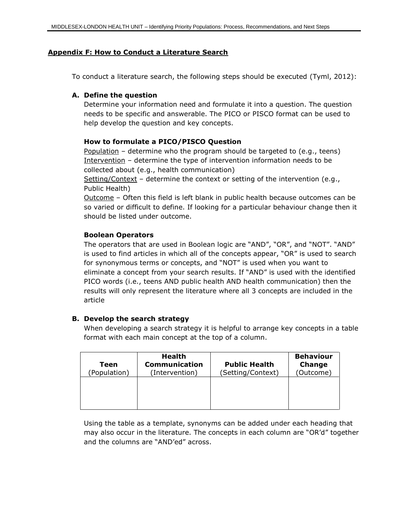## **Appendix F: How to Conduct a Literature Search**

To conduct a literature search, the following steps should be executed (Tyml, 2012):

# **A. Define the question**

Determine your information need and formulate it into a question. The question needs to be specific and answerable. The PICO or PISCO format can be used to help develop the question and key concepts.

# **How to formulate a PICO/PISCO Question**

Population – determine who the program should be targeted to (e.g., teens) Intervention – determine the type of intervention information needs to be collected about (e.g., health communication)

Setting/Context - determine the context or setting of the intervention (e.g., Public Health)

Outcome – Often this field is left blank in public health because outcomes can be so varied or difficult to define. If looking for a particular behaviour change then it should be listed under outcome.

# **Boolean Operators**

The operators that are used in Boolean logic are "AND", "OR", and "NOT". "AND" is used to find articles in which all of the concepts appear, "OR" is used to search for synonymous terms or concepts, and "NOT" is used when you want to eliminate a concept from your search results. If "AND" is used with the identified PICO words (i.e., teens AND public health AND health communication) then the results will only represent the literature where all 3 concepts are included in the article

# **B. Develop the search strategy**

When developing a search strategy it is helpful to arrange key concepts in a table format with each main concept at the top of a column.

| Teen<br>(Population) | <b>Health</b><br><b>Communication</b><br>(Intervention) | <b>Public Health</b><br>(Setting/Context) | <b>Behaviour</b><br><b>Change</b><br>(Outcome) |
|----------------------|---------------------------------------------------------|-------------------------------------------|------------------------------------------------|
|                      |                                                         |                                           |                                                |
|                      |                                                         |                                           |                                                |

Using the table as a template, synonyms can be added under each heading that may also occur in the literature. The concepts in each column are "OR'd" together and the columns are "AND'ed" across.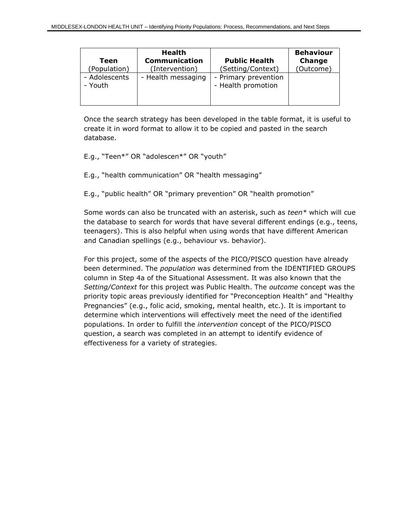| Teen<br>(Population)     | <b>Health</b><br><b>Communication</b><br>(Intervention) | <b>Public Health</b><br>(Setting/Context)  | <b>Behaviour</b><br><b>Change</b><br>(Outcome) |
|--------------------------|---------------------------------------------------------|--------------------------------------------|------------------------------------------------|
| - Adolescents<br>- Youth | - Health messaging                                      | - Primary prevention<br>- Health promotion |                                                |

Once the search strategy has been developed in the table format, it is useful to create it in word format to allow it to be copied and pasted in the search database.

E.g., "Teen\*" OR "adolescen\*" OR "youth"

- E.g., "health communication" OR "health messaging"
- E.g., "public health" OR "primary prevention" OR "health promotion"

Some words can also be truncated with an asterisk, such as *teen\** which will cue the database to search for words that have several different endings (e.g., teens, teenagers). This is also helpful when using words that have different American and Canadian spellings (e.g., behaviour vs. behavior).

For this project, some of the aspects of the PICO/PISCO question have already been determined. The *population* was determined from the IDENTIFIED GROUPS column in Step 4a of the Situational Assessment. It was also known that the *Setting/Context* for this project was Public Health. The *outcome* concept was the priority topic areas previously identified for "Preconception Health" and "Healthy Pregnancies" (e.g., folic acid, smoking, mental health, etc.). It is important to determine which interventions will effectively meet the need of the identified populations. In order to fulfill the *intervention* concept of the PICO/PISCO question, a search was completed in an attempt to identify evidence of effectiveness for a variety of strategies.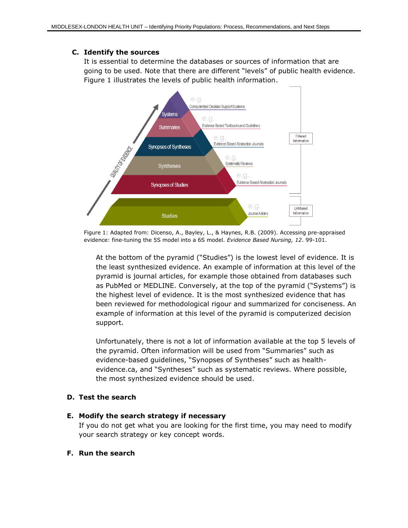#### **C. Identify the sources**

It is essential to determine the databases or sources of information that are going to be used. Note that there are different "levels" of public health evidence. Figure 1 illustrates the levels of public health information.



Figure 1: Adapted from: Dicenso, A., Bayley, L., & Haynes, R.B. (2009). Accessing pre-appraised evidence: fine-tuning the 5S model into a 6S model. *Evidence Based Nursing, 12*. 99-101.

At the bottom of the pyramid ("Studies") is the lowest level of evidence. It is the least synthesized evidence. An example of information at this level of the pyramid is journal articles, for example those obtained from databases such as PubMed or MEDLINE. Conversely, at the top of the pyramid ("Systems") is the highest level of evidence. It is the most synthesized evidence that has been reviewed for methodological rigour and summarized for conciseness. An example of information at this level of the pyramid is computerized decision support.

Unfortunately, there is not a lot of information available at the top 5 levels of the pyramid. Often information will be used from "Summaries" such as evidence-based guidelines, "Synopses of Syntheses" such as healthevidence.ca, and "Syntheses" such as systematic reviews. Where possible, the most synthesized evidence should be used.

## **D. Test the search**

#### **E. Modify the search strategy if necessary**

If you do not get what you are looking for the first time, you may need to modify your search strategy or key concept words.

**F. Run the search**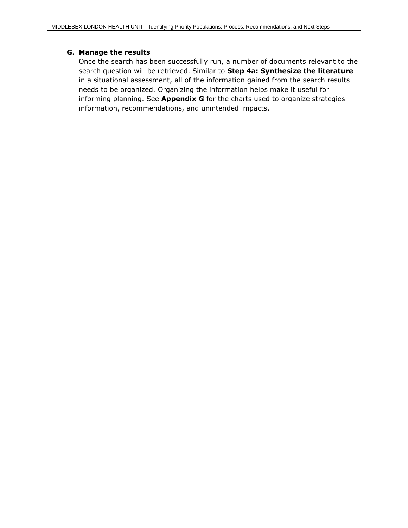#### **G. Manage the results**

Once the search has been successfully run, a number of documents relevant to the search question will be retrieved. Similar to **Step 4a: Synthesize the literature** in a situational assessment, all of the information gained from the search results needs to be organized. Organizing the information helps make it useful for informing planning. See **Appendix G** for the charts used to organize strategies information, recommendations, and unintended impacts.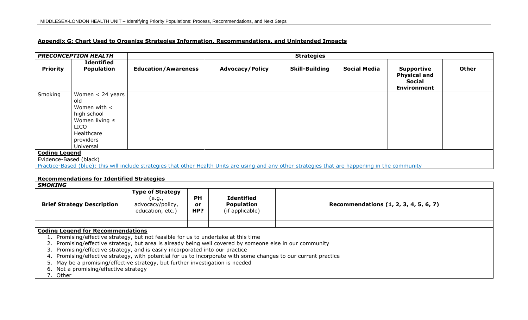# **Appendix G: Chart Used to Organize Strategies Information, Recommendations, and Unintended Impacts**

| <b>PRECONCEPTION HEALTH</b> |                                                                                                                                                                                                      | <b>Strategies</b>          |                        |                       |                     |                                                                                 |              |
|-----------------------------|------------------------------------------------------------------------------------------------------------------------------------------------------------------------------------------------------|----------------------------|------------------------|-----------------------|---------------------|---------------------------------------------------------------------------------|--------------|
| <b>Priority</b>             | <b>Identified</b><br><b>Population</b>                                                                                                                                                               | <b>Education/Awareness</b> | <b>Advocacy/Policy</b> | <b>Skill-Building</b> | <b>Social Media</b> | <b>Supportive</b><br><b>Physical and</b><br><b>Social</b><br><b>Environment</b> | <b>Other</b> |
| Smoking                     | Women $<$ 24 years<br>old                                                                                                                                                                            |                            |                        |                       |                     |                                                                                 |              |
|                             | Women with $\lt$<br>high school                                                                                                                                                                      |                            |                        |                       |                     |                                                                                 |              |
|                             | Women living $\leq$<br><b>LICO</b>                                                                                                                                                                   |                            |                        |                       |                     |                                                                                 |              |
|                             | Healthcare<br>providers                                                                                                                                                                              |                            |                        |                       |                     |                                                                                 |              |
|                             | Universal                                                                                                                                                                                            |                            |                        |                       |                     |                                                                                 |              |
|                             | <b>Coding Legend</b><br>Evidence-Based (black)<br>Practice-Based (blue): this will include strategies that other Health Units are using and any other strategies that are happening in the community |                            |                        |                       |                     |                                                                                 |              |

## **Recommendations for Identified Strategies**

| <b>SMOKING</b>                                                                                               |                                                                                                       |                        |                                                    |                                       |  |
|--------------------------------------------------------------------------------------------------------------|-------------------------------------------------------------------------------------------------------|------------------------|----------------------------------------------------|---------------------------------------|--|
| <b>Brief Strategy Description</b>                                                                            | <b>Type of Strategy</b><br>(e.g.,<br>advocacy/policy,<br>education, etc.)                             | <b>PH</b><br>or<br>HP? | Identified<br><b>Population</b><br>(if applicable) | Recommendations (1, 2, 3, 4, 5, 6, 7) |  |
|                                                                                                              |                                                                                                       |                        |                                                    |                                       |  |
|                                                                                                              |                                                                                                       |                        |                                                    |                                       |  |
| <b>Coding Legend for Recommendations</b>                                                                     |                                                                                                       |                        |                                                    |                                       |  |
| Promising/effective strategy, but not feasible for us to undertake at this time                              |                                                                                                       |                        |                                                    |                                       |  |
|                                                                                                              | Promising/effective strategy, but area is already being well covered by someone else in our community |                        |                                                    |                                       |  |
| Promising/effective strategy, and is easily incorporated into our practice                                   |                                                                                                       |                        |                                                    |                                       |  |
| Promising/effective strategy, with potential for us to incorporate with some changes to our current practice |                                                                                                       |                        |                                                    |                                       |  |
| 5. May be a promising/effective strategy, but further investigation is needed                                |                                                                                                       |                        |                                                    |                                       |  |
| Not a promising/effective strategy                                                                           |                                                                                                       |                        |                                                    |                                       |  |
| 7. Other                                                                                                     |                                                                                                       |                        |                                                    |                                       |  |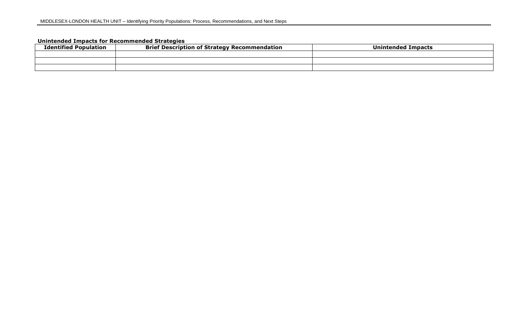## **Unintended Impacts for Recommended Strategies**

| <b>Identified</b><br>l Population | <b>Brief Description of Strategy Recommendation</b> | Impacts<br>⊃nintende |
|-----------------------------------|-----------------------------------------------------|----------------------|
|                                   |                                                     |                      |
|                                   |                                                     |                      |
|                                   |                                                     |                      |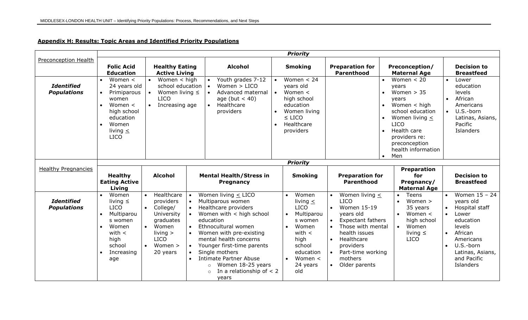|                                         |                                                                                                                                                                                |                                                                                                                                                                  |                                                                                                                                                                                                                                                                                                                                                               | <b>Priority</b>                                                                                                                                                                                            |                                                                                                                                                                                                                           |                                                                                                                                                                                                     |                                                                                                                                                                                                                                           |
|-----------------------------------------|--------------------------------------------------------------------------------------------------------------------------------------------------------------------------------|------------------------------------------------------------------------------------------------------------------------------------------------------------------|---------------------------------------------------------------------------------------------------------------------------------------------------------------------------------------------------------------------------------------------------------------------------------------------------------------------------------------------------------------|------------------------------------------------------------------------------------------------------------------------------------------------------------------------------------------------------------|---------------------------------------------------------------------------------------------------------------------------------------------------------------------------------------------------------------------------|-----------------------------------------------------------------------------------------------------------------------------------------------------------------------------------------------------|-------------------------------------------------------------------------------------------------------------------------------------------------------------------------------------------------------------------------------------------|
| <b>Preconception Health</b>             |                                                                                                                                                                                |                                                                                                                                                                  |                                                                                                                                                                                                                                                                                                                                                               |                                                                                                                                                                                                            |                                                                                                                                                                                                                           |                                                                                                                                                                                                     |                                                                                                                                                                                                                                           |
|                                         | <b>Folic Acid</b>                                                                                                                                                              | <b>Healthy Eating</b>                                                                                                                                            | <b>Alcohol</b>                                                                                                                                                                                                                                                                                                                                                | <b>Smoking</b>                                                                                                                                                                                             | <b>Preparation for</b>                                                                                                                                                                                                    | Preconception/                                                                                                                                                                                      | <b>Decision to</b>                                                                                                                                                                                                                        |
|                                         | <b>Education</b>                                                                                                                                                               | <b>Active Living</b>                                                                                                                                             |                                                                                                                                                                                                                                                                                                                                                               |                                                                                                                                                                                                            | <b>Parenthood</b>                                                                                                                                                                                                         | <b>Maternal Age</b>                                                                                                                                                                                 | <b>Breastfeed</b>                                                                                                                                                                                                                         |
| <b>Identified</b><br><b>Populations</b> | Women $\lt$<br>24 years old<br>Primiparous<br>$\bullet$<br>women<br>Women $\lt$<br>$\bullet$<br>high school<br>education<br>Women<br>$\bullet$<br>living $\leq$<br><b>LICO</b> | Women $\lt$ high<br>school education<br>Women living $\leq$<br>$\bullet$<br><b>LICO</b><br>Increasing age                                                        | Youth grades 7-12<br>Women $>$ LICO<br>Advanced maternal<br>age (but $<$ 40)<br>Healthcare<br>$\bullet$<br>providers                                                                                                                                                                                                                                          | Women $< 24$<br>years old<br>Women $\lt$<br>high school<br>education<br>Women living<br>$\leq$ LICO<br>Healthcare<br>providers                                                                             | $\bullet$<br>$\bullet$<br>$\bullet$                                                                                                                                                                                       | Women $< 20$<br>years<br>Women $> 35$<br>years<br>Women $\lt$ high<br>school education<br>Women living $\leq$<br><b>LICO</b><br>Health care<br>providers re:<br>preconception<br>health information | Lower<br>$\bullet$<br>education<br>levels<br>African<br>$\bullet$<br>Americans<br>U.S.-born<br>$\bullet$<br>Latinas, Asians,<br>Pacific<br>Islanders                                                                                      |
|                                         |                                                                                                                                                                                |                                                                                                                                                                  |                                                                                                                                                                                                                                                                                                                                                               |                                                                                                                                                                                                            |                                                                                                                                                                                                                           | Men                                                                                                                                                                                                 |                                                                                                                                                                                                                                           |
|                                         |                                                                                                                                                                                |                                                                                                                                                                  |                                                                                                                                                                                                                                                                                                                                                               | <b>Priority</b>                                                                                                                                                                                            |                                                                                                                                                                                                                           |                                                                                                                                                                                                     |                                                                                                                                                                                                                                           |
| <b>Healthy Pregnancies</b>              | <b>Healthy</b><br><b>Eating Active</b>                                                                                                                                         | <b>Alcohol</b>                                                                                                                                                   | <b>Mental Health/Stress in</b><br><b>Pregnancy</b>                                                                                                                                                                                                                                                                                                            | <b>Smoking</b>                                                                                                                                                                                             | <b>Preparation for</b><br><b>Parenthood</b>                                                                                                                                                                               | <b>Preparation</b><br>for<br>Pregnancy/                                                                                                                                                             | <b>Decision to</b><br><b>Breastfeed</b>                                                                                                                                                                                                   |
|                                         | Living                                                                                                                                                                         |                                                                                                                                                                  |                                                                                                                                                                                                                                                                                                                                                               |                                                                                                                                                                                                            |                                                                                                                                                                                                                           | <b>Maternal Age</b>                                                                                                                                                                                 |                                                                                                                                                                                                                                           |
| <b>Identified</b><br><b>Populations</b> | Women<br>$\bullet$<br>living $\leq$<br><b>LICO</b><br>Multiparou<br>$\bullet$<br>s women<br>Women<br>$\bullet$<br>with $\lt$<br>high<br>school<br>Increasing<br>age            | Healthcare<br>providers<br>• College/<br>University<br>graduates<br>Women<br>$\bullet$<br>$\bullet$<br>living<br><b>LICO</b><br>Women ><br>$\bullet$<br>20 years | Women living $\leq$ LICO<br>Multiparous women<br>Healthcare providers<br>Women with < high school<br>education<br>Ethnocultural women<br>Women with pre-existing<br>mental health concerns<br>Younger first-time parents<br>Single mothers<br><b>Intimate Partner Abuse</b><br>Women 18-25 years<br>$\circ$<br>In a relationship of $<$ 2<br>$\circ$<br>years | Women<br>$\bullet$<br>living $\leq$<br><b>LICO</b><br>Multiparou<br>$\bullet$<br>s women<br>Women<br>$\bullet$<br>with $\lt$<br>high<br>school<br>education<br>Women $\lt$<br>$\bullet$<br>24 years<br>old | Women living $\leq$<br><b>LICO</b><br>Women 15-19<br>$\bullet$<br>years old<br><b>Expectant fathers</b><br>Those with mental<br>health issues<br>Healthcare<br>providers<br>Part-time working<br>mothers<br>Older parents | Teens<br>Women ><br>35 years<br>Women $\lt$<br>$\bullet$<br>high school<br>Women<br>living $\leq$<br><b>LICO</b>                                                                                    | Women 15 - 24<br>$\bullet$<br>years old<br>Hospital staff<br>$\bullet$<br>Lower<br>$\bullet$<br>education<br>levels<br>African<br>$\bullet$<br>Americans<br>U.S.-born<br>$\bullet$<br>Latinas, Asians,<br>and Pacific<br><b>Islanders</b> |

# **Appendix H: Results: Topic Areas and Identified Priority Populations**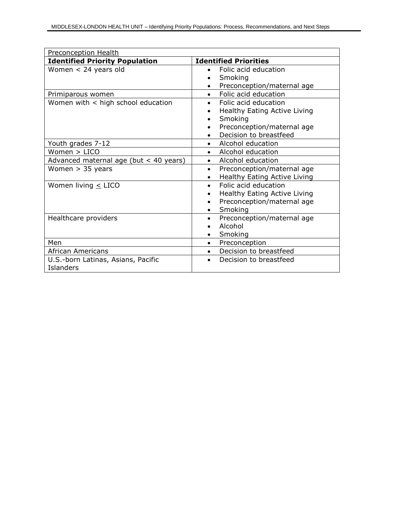| <b>Preconception Health</b>              |                                           |
|------------------------------------------|-------------------------------------------|
| <b>Identified Priority Population</b>    | <b>Identified Priorities</b>              |
| Women $<$ 24 years old                   | Folic acid education                      |
|                                          | Smoking                                   |
|                                          | Preconception/maternal age                |
| Primiparous women                        | Folic acid education<br>$\bullet$         |
| Women with < high school education       | Folic acid education<br>$\bullet$         |
|                                          | Healthy Eating Active Living              |
|                                          | Smoking<br>$\bullet$                      |
|                                          | Preconception/maternal age<br>$\bullet$   |
|                                          | Decision to breastfeed<br>$\bullet$       |
| Youth grades 7-12                        | Alcohol education                         |
| Women > LICO                             | Alcohol education                         |
| Advanced maternal age (but $<$ 40 years) | Alcohol education<br>$\bullet$            |
| Women $>$ 35 years                       | Preconception/maternal age<br>$\bullet$   |
|                                          | Healthy Eating Active Living<br>$\bullet$ |
| Women living $\leq$ LICO                 | Folic acid education<br>$\bullet$         |
|                                          | Healthy Eating Active Living<br>$\bullet$ |
|                                          | Preconception/maternal age<br>$\bullet$   |
|                                          | Smoking                                   |
| Healthcare providers                     | Preconception/maternal age                |
|                                          | Alcohol                                   |
|                                          | Smoking                                   |
| Men                                      | Preconception<br>$\bullet$                |
| African Americans                        | Decision to breastfeed                    |
| U.S.-born Latinas, Asians, Pacific       | Decision to breastfeed                    |
| Islanders                                |                                           |